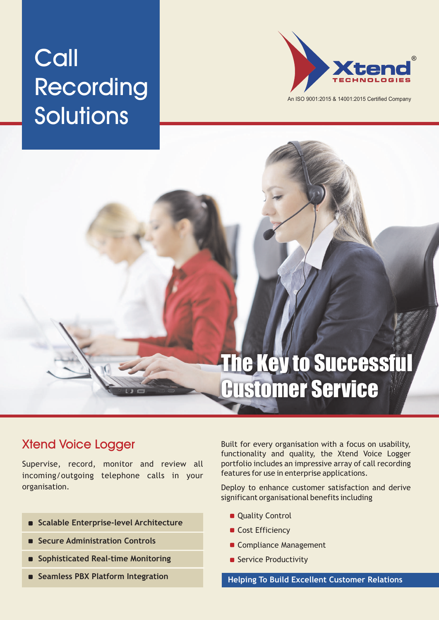# **Call** Recording Solutions



An ISO 9001:2015 & 14001:2015 Certified Company

## The Key to Successful Customer Service

## Xtend Voice Logger

Supervise, record, monitor and review all incoming/outgoing telephone calls in your organisation.

- **Scalable Enterprise-level Architecture**
- **Secure Administration Controls**
- **Sophisticated Real-time Monitoring**
- **Seamless PBX Platform Integration**

Built for every organisation with a focus on usability, functionality and quality, the Xtend Voice Logger portfolio includes an impressive array of call recording features for use in enterprise applications.

Deploy to enhance customer satisfaction and derive significant organisational benefits including

- **Quality Control**
- Cost Efficiency
- Compliance Management
- Service Productivity

**Helping To Build Excellent Customer Relations**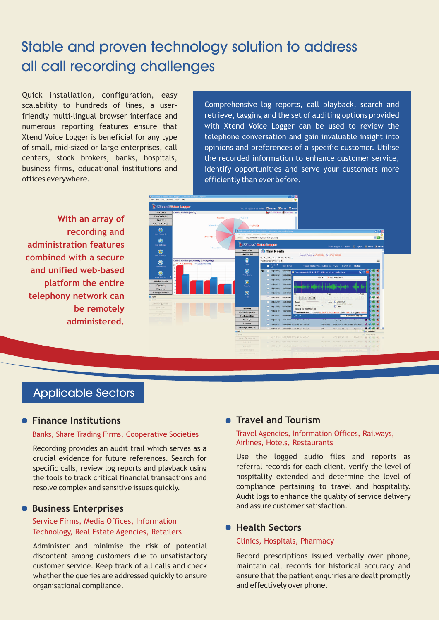## Stable and proven technology solution to address all call recording challenges

Quick installation, configuration, easy scalability to hundreds of lines, a userfriendly multi-lingual browser interface and numerous reporting features ensure that Xtend Voice Logger is beneficial for any type of small, mid-sized or large enterprises, call centers, stock brokers, banks, hospitals, business firms, educational institutions and offices everywhere.

Comprehensive log reports, call playback, search and retrieve, tagging and the set of auditing options provided with Xtend Voice Logger can be used to review the telephone conversation and gain invaluable insight into opinions and preferences of a specific customer. Utilise the recorded information to enhance customer service, identify opportunities and serve your customers more efficiently than ever before.

**With an array of recording and administration features combined with a secure and unified web-based platform the entire telephony network can be remotely administered.**



## Applicable Sectors

#### **Finance Institutions**

#### Banks, Share Trading Firms, Cooperative Societies

Recording provides an audit trail which serves as a crucial evidence for future references. Search for specific calls, review log reports and playback using the tools to track critical financial transactions and resolve complex and sensitive issues quickly.

#### **Business Enterprises**

#### Service Firms, Media Offices, Information Technology, Real Estate Agencies, Retailers

Administer and minimise the risk of potential discontent among customers due to unsatisfactory customer service. Keep track of all calls and check whether the queries are addressed quickly to ensure organisational compliance.

#### $\blacksquare$  Travel and Tourism

#### Travel Agencies, Information Offices, Railways, Airlines, Hotels, Restaurants

Use the logged audio files and reports as referral records for each client, verify the level of hospitality extended and determine the level of compliance pertaining to travel and hospitality. Audit logs to enhance the quality of service delivery and assure customer satisfaction.

#### $H$ **Bealth Sectors**

#### Clinics, Hospitals, Pharmacy

Record prescriptions issued verbally over phone, maintain call records for historical accuracy and ensure that the patient enquiries are dealt promptly and effectively over phone.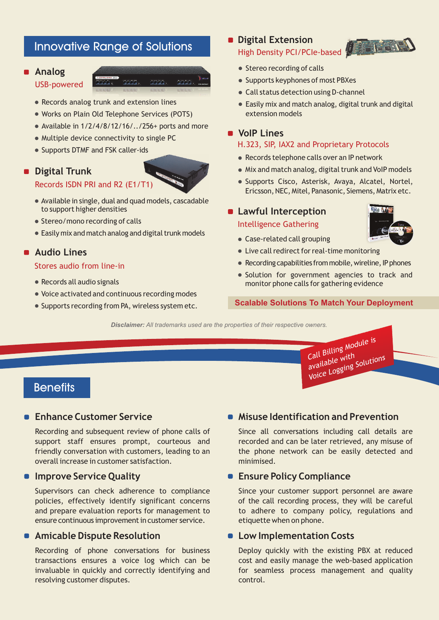## Innovative Range of Solutions

#### **Analog**

#### USB-powered

- Records analog trunk and extension lines
- Works on Plain Old Telephone Services (POTS)
- Available in  $1/2/4/8/12/16/$ ../256+ ports and more
- Multiple device connectivity to single PC
- Supports DTMF and FSK caller-ids

#### **Digital Trunk**



- Available in single, dual and quad models, cascadable to support higher densities
- Stereo/mono recording of calls
- $\bullet$  Easily mix and match analog and digital trunk models

#### **Audio Lines**

#### Stores audio from line-in

- Records all audio signals
- Voice activated and continuous recording modes
- Supports recording from PA, wireless system etc.

#### **Digital Extension** High Density PCI/PCIe-based

- Stereo recording of calls
- Supports keyphones of most PBXes
- Call status detection using D-channel
- Easily mix and match analog, digital trunk and digital extension models

#### **VoIP Lines**

#### H.323, SIP, IAX2 and Proprietary Protocols

- Records telephone calls over an IP network
- Mix and match analog, digital trunk and VoIP models
- · Supports Cisco, Asterisk, Avaya, Alcatel, Nortel, Ericsson, NEC, Mitel, Panasonic, Siemens, Matrix etc.

### **Lawful Interception**

#### Intelligence Gathering

Case-related call grouping



- 
- Live call redirect for real-time monitoring
- $\bullet$  Recording capabilities from mobile, wireline, IP phones
- Solution for government agencies to track and monitor phone calls for gathering evidence

#### **Scalable Solutions To Match Your Deployment**

*Disclaimer: All trademarks used are the properties of their respective owners.*

Call Billing Module is Call <sup>plus</sup> — with<br>available <sup>with</sup> call in the Williams<br>available Willi<sub>s</sub> Solutions

### **Benefits**

#### **Enhance Customer Service**

Recording and subsequent review of phone calls of support staff ensures prompt, courteous and friendly conversation with customers, leading to an overall increase in customer satisfaction.

#### **• Improve Service Quality**

Supervisors can check adherence to compliance policies, effectively identify significant concerns and prepare evaluation reports for management to ensure continuous improvement in customer service.

#### **Amicable Dispute Resolution**

Recording of phone conversations for business transactions ensures a voice log which can be invaluable in quickly and correctly identifying and resolving customer disputes.

#### **Misuse Identification and Prevention**

Since all conversations including call details are recorded and can be later retrieved, any misuse of the phone network can be easily detected and minimised.

#### **Ensure Policy Compliance**

Since your customer support personnel are aware of the call recording process, they will be careful to adhere to company policy, regulations and etiquette when on phone.

#### **Low Implementation Costs**

Deploy quickly with the existing PBX at reduced cost and easily manage the web-based application for seamless process management and quality control.